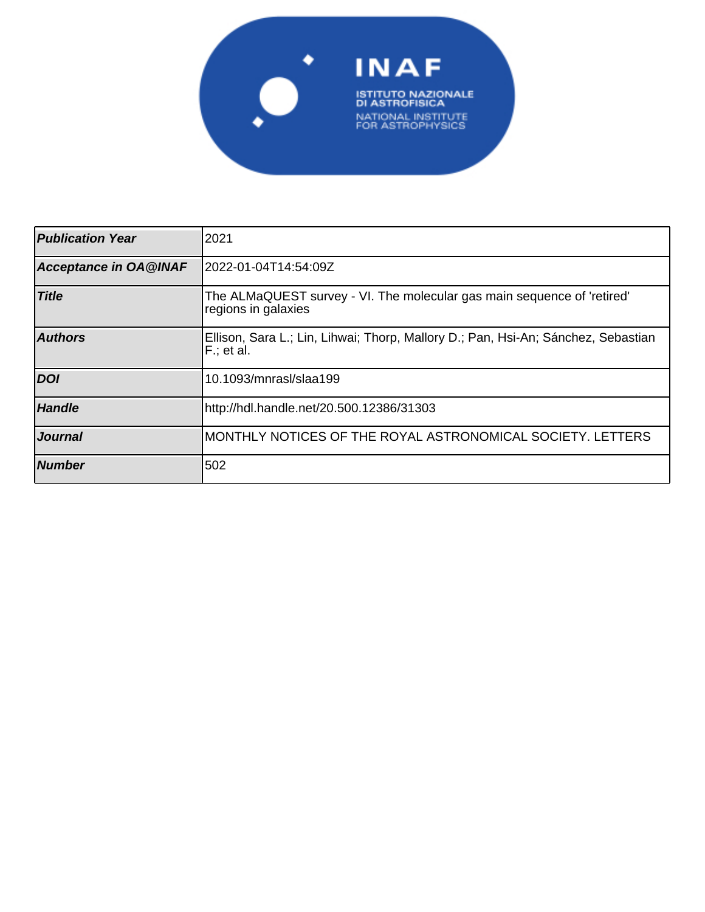

| <b>Publication Year</b>      | 2021                                                                                            |
|------------------------------|-------------------------------------------------------------------------------------------------|
| <b>Acceptance in OA@INAF</b> | 2022-01-04T14:54:09Z                                                                            |
| <b>Title</b>                 | The ALMaQUEST survey - VI. The molecular gas main sequence of 'retired'<br>regions in galaxies  |
| <b>Authors</b>               | Ellison, Sara L.; Lin, Lihwai; Thorp, Mallory D.; Pan, Hsi-An; Sánchez, Sebastian<br>F.; et al. |
| <b>DOI</b>                   | 10.1093/mnrasl/slaa199                                                                          |
| <b>Handle</b>                | http://hdl.handle.net/20.500.12386/31303                                                        |
| Journal                      | MONTHLY NOTICES OF THE ROYAL ASTRONOMICAL SOCIETY. LETTERS                                      |
| <b>Number</b>                | 502                                                                                             |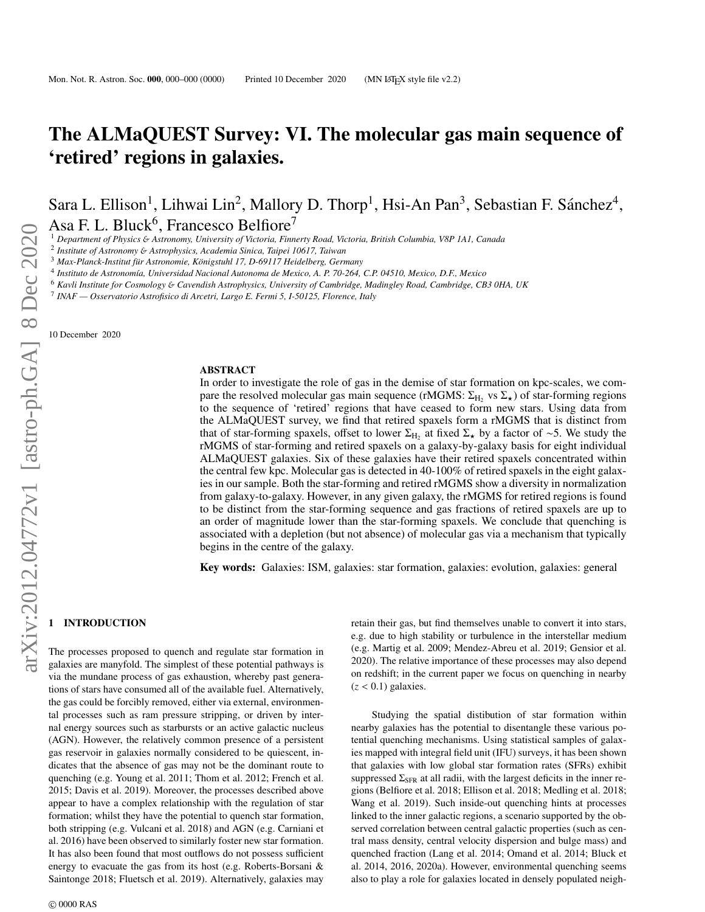# The ALMaQUEST Survey: VI. The molecular gas main sequence of 'retired' regions in galaxies.

Sara L. Ellison<sup>1</sup>, Lihwai Lin<sup>2</sup>, Mallory D. Thorp<sup>1</sup>, Hsi-An Pan<sup>3</sup>, Sebastian F. Sánchez<sup>4</sup>, Asa F. L. Bluck<sup>6</sup>, Francesco Belfiore<sup>7</sup>

<sup>1</sup> *Department of Physics* & *Astronomy, University of Victoria, Finnerty Road, Victoria, British Columbia, V8P 1A1, Canada*

2 *Institute of Astronomy* & *Astrophysics, Academia Sinica, Taipei 10617, Taiwan*

<sup>3</sup> Max-Planck-Institut für Astronomie, Königstuhl 17, D-69117 Heidelberg, Germany

4 *Instituto de Astronom´ıa, Universidad Nacional Autonoma de Mexico, A. P. 70-264, C.P. 04510, Mexico, D.F., Mexico*

<sup>6</sup> *Kavli Institute for Cosmology* & *Cavendish Astrophysics, University of Cambridge, Madingley Road, Cambridge, CB3 0HA, UK*

7 *INAF — Osservatorio Astrofisico di Arcetri, Largo E. Fermi 5, I-50125, Florence, Italy*

10 December 2020

#### ABSTRACT

In order to investigate the role of gas in the demise of star formation on kpc-scales, we compare the resolved molecular gas main sequence (rMGMS:  $\Sigma_{\rm H_2}$  vs  $\Sigma_{\star}$ ) of star-forming regions to the sequence of 'retired' regions that have ceased to form new stars. Using data from to the sequence of 'retired' regions that have ceased to form new stars. Using data from the ALMaQUEST survey, we find that retired spaxels form a rMGMS that is distinct from that of star-forming spaxels, offset to lower  $\Sigma_{H_2}$  at fixed  $\Sigma_{\star}$  by a factor of ∼5. We study the rMGMS of star forming and retired spaxels on a galaxy by galaxy basis for eight individual rMGMS of star-forming and retired spaxels on a galaxy-by-galaxy basis for eight individual ALMaQUEST galaxies. Six of these galaxies have their retired spaxels concentrated within the central few kpc. Molecular gas is detected in 40-100% of retired spaxels in the eight galaxies in our sample. Both the star-forming and retired rMGMS show a diversity in normalization from galaxy-to-galaxy. However, in any given galaxy, the rMGMS for retired regions is found to be distinct from the star-forming sequence and gas fractions of retired spaxels are up to an order of magnitude lower than the star-forming spaxels. We conclude that quenching is associated with a depletion (but not absence) of molecular gas via a mechanism that typically begins in the centre of the galaxy.

Key words: Galaxies: ISM, galaxies: star formation, galaxies: evolution, galaxies: general

### **INTRODUCTION**

The processes proposed to quench and regulate star formation in galaxies are manyfold. The simplest of these potential pathways is via the mundane process of gas exhaustion, whereby past generations of stars have consumed all of the available fuel. Alternatively, the gas could be forcibly removed, either via external, environmental processes such as ram pressure stripping, or driven by internal energy sources such as starbursts or an active galactic nucleus (AGN). However, the relatively common presence of a persistent gas reservoir in galaxies normally considered to be quiescent, indicates that the absence of gas may not be the dominant route to quenching (e.g. Young et al. 2011; Thom et al. 2012; French et al. 2015; Davis et al. 2019). Moreover, the processes described above appear to have a complex relationship with the regulation of star formation; whilst they have the potential to quench star formation, both stripping (e.g. Vulcani et al. 2018) and AGN (e.g. Carniani et al. 2016) have been observed to similarly foster new star formation. It has also been found that most outflows do not possess sufficient energy to evacuate the gas from its host (e.g. Roberts-Borsani & Saintonge 2018; Fluetsch et al. 2019). Alternatively, galaxies may

retain their gas, but find themselves unable to convert it into stars, e.g. due to high stability or turbulence in the interstellar medium (e.g. Martig et al. 2009; Mendez-Abreu et al. 2019; Gensior et al. 2020). The relative importance of these processes may also depend on redshift; in the current paper we focus on quenching in nearby  $(z < 0.1)$  galaxies.

Studying the spatial distibution of star formation within nearby galaxies has the potential to disentangle these various potential quenching mechanisms. Using statistical samples of galaxies mapped with integral field unit (IFU) surveys, it has been shown that galaxies with low global star formation rates (SFRs) exhibit suppressed  $\Sigma_{\rm SFR}$  at all radii, with the largest deficits in the inner regions (Belfiore et al. 2018; Ellison et al. 2018; Medling et al. 2018; Wang et al. 2019). Such inside-out quenching hints at processes linked to the inner galactic regions, a scenario supported by the observed correlation between central galactic properties (such as central mass density, central velocity dispersion and bulge mass) and quenched fraction (Lang et al. 2014; Omand et al. 2014; Bluck et al. 2014, 2016, 2020a). However, environmental quenching seems also to play a role for galaxies located in densely populated neigh-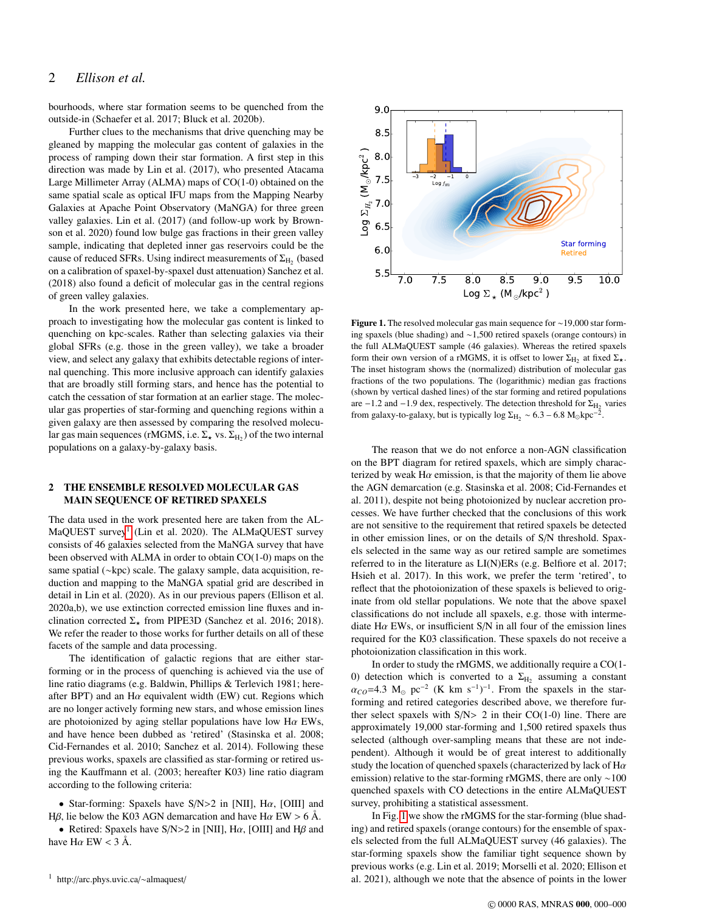## 2 *Ellison et al.*

bourhoods, where star formation seems to be quenched from the outside-in (Schaefer et al. 2017; Bluck et al. 2020b).

Further clues to the mechanisms that drive quenching may be gleaned by mapping the molecular gas content of galaxies in the process of ramping down their star formation. A first step in this direction was made by Lin et al. (2017), who presented Atacama Large Millimeter Array (ALMA) maps of CO(1-0) obtained on the same spatial scale as optical IFU maps from the Mapping Nearby Galaxies at Apache Point Observatory (MaNGA) for three green valley galaxies. Lin et al. (2017) (and follow-up work by Brownson et al. 2020) found low bulge gas fractions in their green valley sample, indicating that depleted inner gas reservoirs could be the cause of reduced SFRs. Using indirect measurements of  $\Sigma_{\rm H_2}$  (based on a calibration of spaxel-by-spaxel dust attenuation) Sanchez et al. (2018) also found a deficit of molecular gas in the central regions of green valley galaxies.

In the work presented here, we take a complementary approach to investigating how the molecular gas content is linked to quenching on kpc-scales. Rather than selecting galaxies via their global SFRs (e.g. those in the green valley), we take a broader view, and select any galaxy that exhibits detectable regions of internal quenching. This more inclusive approach can identify galaxies that are broadly still forming stars, and hence has the potential to catch the cessation of star formation at an earlier stage. The molecular gas properties of star-forming and quenching regions within a given galaxy are then assessed by comparing the resolved molecular gas main sequences (rMGMS, i.e.  $\Sigma_{\star}$  vs.  $\Sigma_{\rm H_2}$ ) of the two internal populations on a galaxy-by-galaxy basis.

## 2 THE ENSEMBLE RESOLVED MOLECULAR GAS MAIN SEQUENCE OF RETIRED SPAXELS

The data used in the work presented here are taken from the AL-MaQUEST survey<sup>1</sup> (Lin et al. 2020). The ALMaQUEST survey consists of 46 galaxies selected from the MaNGA survey that have been observed with ALMA in order to obtain CO(1-0) maps on the same spatial (∼kpc) scale. The galaxy sample, data acquisition, reduction and mapping to the MaNGA spatial grid are described in detail in Lin et al. (2020). As in our previous papers (Ellison et al. 2020a,b), we use extinction corrected emission line fluxes and inclination corrected  $\Sigma_{\star}$  from PIPE3D (Sanchez et al. 2016; 2018). We refer the reader to those works for further details on all of these facets of the sample and data processing.

The identification of galactic regions that are either starforming or in the process of quenching is achieved via the use of line ratio diagrams (e.g. Baldwin, Phillips & Terlevich 1981; hereafter BPT) and an H $\alpha$  equivalent width (EW) cut. Regions which are no longer actively forming new stars, and whose emission lines are photoionized by aging stellar populations have low H $\alpha$  EWs, and have hence been dubbed as 'retired' (Stasinska et al. 2008; Cid-Fernandes et al. 2010; Sanchez et al. 2014). Following these previous works, spaxels are classified as star-forming or retired using the Kauffmann et al. (2003; hereafter K03) line ratio diagram according to the following criteria:

• Star-forming: Spaxels have  $S/N>2$  in [NII], H $\alpha$ , [OIII] and Hβ, lie below the K03 AGN demarcation and have Hα EW > 6 Å.

• Retired: Spaxels have S/N>2 in [NII], H $\alpha$ , [OIII] and H $\beta$  and have  $H\alpha$  EW < 3 Å.



Figure 1. The resolved molecular gas main sequence for ∼19,000 star forming spaxels (blue shading) and ∼1,500 retired spaxels (orange contours) in the full ALMaQUEST sample (46 galaxies). Whereas the retired spaxels form their own version of a rMGMS, it is offset to lower  $\Sigma_{H_2}$  at fixed  $\Sigma_{\star}$ .<br>The inset histogram shows the (normalized) distribution of malesular ass The inset histogram shows the (normalized) distribution of molecular gas fractions of the two populations. The (logarithmic) median gas fractions (shown by vertical dashed lines) of the star forming and retired populations are −1.2 and −1.9 dex, respectively. The detection threshold for  $\Sigma_{\text{H}_2}$  varies<br>from galaxy to galaxy but is typically log  $\Sigma_{\text{M}_2}$  = 6.8 M kpc<sup>-2</sup> from galaxy-to-galaxy, but is typically log  $\Sigma_{\text{H}_2} \sim 6.3 - 6.8 \text{ M}_{\odot} \text{kpc}^{-2}$ .

The reason that we do not enforce a non-AGN classification on the BPT diagram for retired spaxels, which are simply characterized by weak H $\alpha$  emission, is that the majority of them lie above the AGN demarcation (e.g. Stasinska et al. 2008; Cid-Fernandes et al. 2011), despite not being photoionized by nuclear accretion processes. We have further checked that the conclusions of this work are not sensitive to the requirement that retired spaxels be detected in other emission lines, or on the details of S/N threshold. Spaxels selected in the same way as our retired sample are sometimes referred to in the literature as LI(N)ERs (e.g. Belfiore et al. 2017; Hsieh et al. 2017). In this work, we prefer the term 'retired', to reflect that the photoionization of these spaxels is believed to originate from old stellar populations. We note that the above spaxel classifications do not include all spaxels, e.g. those with intermediate H $\alpha$  EWs, or insufficient S/N in all four of the emission lines required for the K03 classification. These spaxels do not receive a photoionization classification in this work.

In order to study the rMGMS, we additionally require a CO(1- 0) detection which is converted to a  $\Sigma_{\rm H_2}$  assuming a constant  $\alpha_{CO} = 4.3 \text{ M}_{\odot} \text{ pc}^{-2}$  (K km s<sup>-1</sup>)<sup>-1</sup>. From the spaxels in the star-<br>forming and ratired categories described above, we therefore furforming and retired categories described above, we therefore further select spaxels with  $S/N> 2$  in their CO(1-0) line. There are approximately 19,000 star-forming and 1,500 retired spaxels thus selected (although over-sampling means that these are not independent). Although it would be of great interest to additionally study the location of quenched spaxels (characterized by lack of H $\alpha$ emission) relative to the star-forming rMGMS, there are only ∼100 quenched spaxels with CO detections in the entire ALMaQUEST survey, prohibiting a statistical assessment.

In Fig. 1 we show the rMGMS for the star-forming (blue shading) and retired spaxels (orange contours) for the ensemble of spaxels selected from the full ALMaQUEST survey (46 galaxies). The star-forming spaxels show the familiar tight sequence shown by previous works (e.g. Lin et al. 2019; Morselli et al. 2020; Ellison et al. 2021), although we note that the absence of points in the lower

<sup>1</sup> http://arc.phys.uvic.ca/∼almaquest/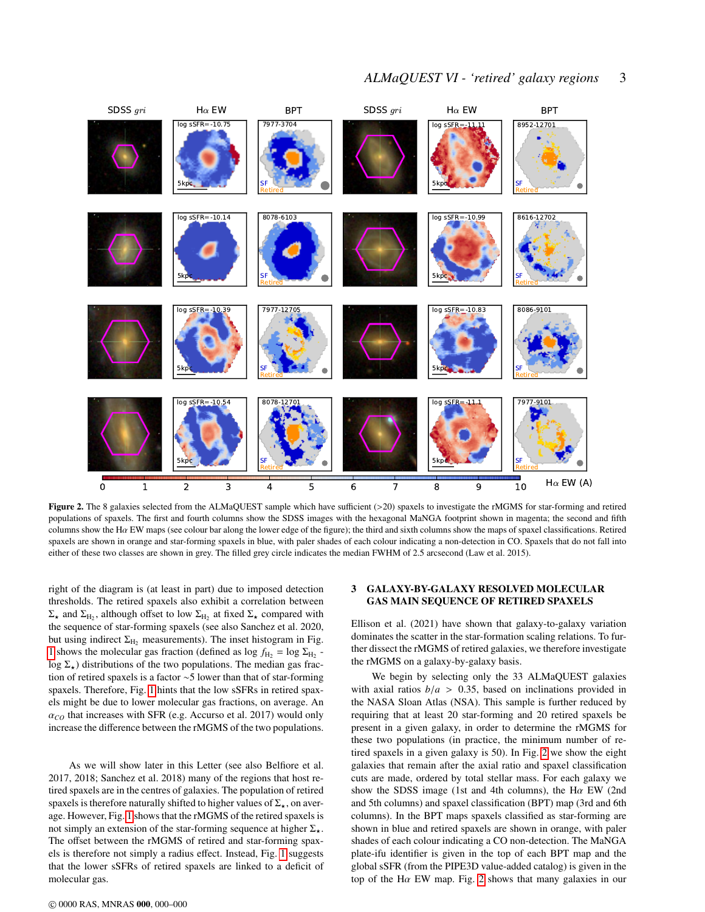## *ALMaQUEST VI - 'retired' galaxy regions* 3



Figure 2. The 8 galaxies selected from the ALMaQUEST sample which have sufficient  $(>20)$  spaxels to investigate the rMGMS for star-forming and retired populations of spaxels. The first and fourth columns show the SDSS images with the hexagonal MaNGA footprint shown in magenta; the second and fifth columns show the H $\alpha$  EW maps (see colour bar along the lower edge of the figure); the third and sixth columns show the maps of spaxel classifications. Retired spaxels are shown in orange and star-forming spaxels in blue, with paler shades of each colour indicating a non-detection in CO. Spaxels that do not fall into either of these two classes are shown in grey. The filled grey circle indicates the median FWHM of 2.5 arcsecond (Law et al. 2015).

right of the diagram is (at least in part) due to imposed detection thresholds. The retired spaxels also exhibit a correlation between  $\Sigma_{\star}$  and  $\Sigma_{\text{H}_2}$ , although offset to low  $\Sigma_{\text{H}_2}$  at fixed  $\Sigma_{\star}$  compared with the sequence of star-forming spaxels (see also Sanchez et al. 2020, but using indirect  $\Sigma_{\rm H_2}$  measurements). The inset histogram in Fig. 1 shows the molecular gas fraction (defined as  $\log f_{\text{H}_2} = \log \Sigma_{\text{H}_2}$ . log  $\Sigma_{\star}$ ) distributions of the two populations. The median gas fraction of retired spaxels is a factor ∼5 lower than that of star-forming spaxels. Therefore, Fig. 1 hints that the low sSFRs in retired spaxels might be due to lower molecular gas fractions, on average. An <sup>α</sup>*CO* that increases with SFR (e.g. Accurso et al. 2017) would only increase the difference between the rMGMS of the two populations.

As we will show later in this Letter (see also Belfiore et al. 2017, 2018; Sanchez et al. 2018) many of the regions that host retired spaxels are in the centres of galaxies. The population of retired spaxels is therefore naturally shifted to higher values of  $\Sigma_{\star}$ , on average. However, Fig. 1 shows that the rMGMS of the retired spaxels is not simply an extension of the star-forming sequence at higher  $\Sigma_{\star}$ . The offset between the rMGMS of retired and star-forming spaxels is therefore not simply a radius effect. Instead, Fig. 1 suggests that the lower sSFRs of retired spaxels are linked to a deficit of molecular gas.

#### © 0000 RAS, MNRAS 000, 000–000

## 3 GALAXY-BY-GALAXY RESOLVED MOLECULAR GAS MAIN SEQUENCE OF RETIRED SPAXELS

Ellison et al. (2021) have shown that galaxy-to-galaxy variation dominates the scatter in the star-formation scaling relations. To further dissect the rMGMS of retired galaxies, we therefore investigate the rMGMS on a galaxy-by-galaxy basis.

We begin by selecting only the 33 ALMaQUEST galaxies with axial ratios  $b/a > 0.35$ , based on inclinations provided in the NASA Sloan Atlas (NSA). This sample is further reduced by requiring that at least 20 star-forming and 20 retired spaxels be present in a given galaxy, in order to determine the rMGMS for these two populations (in practice, the minimum number of retired spaxels in a given galaxy is 50). In Fig. 2 we show the eight galaxies that remain after the axial ratio and spaxel classification cuts are made, ordered by total stellar mass. For each galaxy we show the SDSS image (1st and 4th columns), the H $\alpha$  EW (2nd) and 5th columns) and spaxel classification (BPT) map (3rd and 6th columns). In the BPT maps spaxels classified as star-forming are shown in blue and retired spaxels are shown in orange, with paler shades of each colour indicating a CO non-detection. The MaNGA plate-ifu identifier is given in the top of each BPT map and the global sSFR (from the PIPE3D value-added catalog) is given in the top of the H $\alpha$  EW map. Fig. 2 shows that many galaxies in our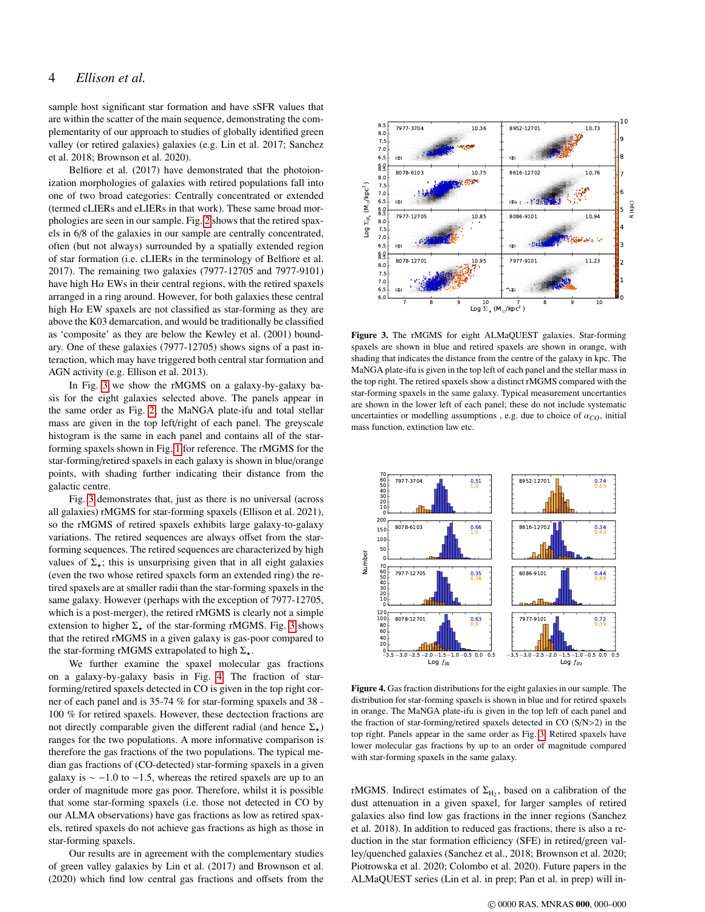## 4 *Ellison et al.*

sample host significant star formation and have sSFR values that are within the scatter of the main sequence, demonstrating the complementarity of our approach to studies of globally identified green valley (or retired galaxies) galaxies (e.g. Lin et al. 2017; Sanchez et al. 2018; Brownson et al. 2020).

Belfiore et al. (2017) have demonstrated that the photoionization morphologies of galaxies with retired populations fall into one of two broad categories: Centrally concentrated or extended (termed cLIERs and eLIERs in that work). These same broad morphologies are seen in our sample. Fig. 2 shows that the retired spaxels in 6/8 of the galaxies in our sample are centrally concentrated, often (but not always) surrounded by a spatially extended region of star formation (i.e. cLIERs in the terminology of Belfiore et al. 2017). The remaining two galaxies (7977-12705 and 7977-9101) have high H $\alpha$  EWs in their central regions, with the retired spaxels arranged in a ring around. However, for both galaxies these central high H $\alpha$  EW spaxels are not classified as star-forming as they are above the K03 demarcation, and would be traditionally be classified as 'composite' as they are below the Kewley et al. (2001) boundary. One of these galaxies (7977-12705) shows signs of a past interaction, which may have triggered both central star formation and AGN activity (e.g. Ellison et al. 2013).

In Fig. 3 we show the rMGMS on a galaxy-by-galaxy basis for the eight galaxies selected above. The panels appear in the same order as Fig. 2; the MaNGA plate-ifu and total stellar mass are given in the top left/right of each panel. The greyscale histogram is the same in each panel and contains all of the starforming spaxels shown in Fig. 1 for reference. The rMGMS for the star-forming/retired spaxels in each galaxy is shown in blue/orange points, with shading further indicating their distance from the galactic centre.

Fig. 3 demonstrates that, just as there is no universal (across all galaxies) rMGMS for star-forming spaxels (Ellison et al. 2021), so the rMGMS of retired spaxels exhibits large galaxy-to-galaxy variations. The retired sequences are always offset from the starforming sequences. The retired sequences are characterized by high values of  $\Sigma_{\star}$ ; this is unsurprising given that in all eight galaxies (even the two whose retired spaxels form an extended ring) the retired spaxels are at smaller radii than the star-forming spaxels in the same galaxy. However (perhaps with the exception of 7977-12705, which is a post-merger), the retired rMGMS is clearly not a simple extension to higher  $\Sigma_{\star}$  of the star-forming rMGMS. Fig. 3 shows that the retired rMGMS in a given galaxy is gas-poor compared to the star-forming rMGMS extrapolated to high  $\Sigma_{\star}$ .

We further examine the spaxel molecular gas fractions on a galaxy-by-galaxy basis in Fig. 4. The fraction of starforming/retired spaxels detected in CO is given in the top right corner of each panel and is 35-74 % for star-forming spaxels and 38 - 100 % for retired spaxels. However, these dectection fractions are not directly comparable given the different radial (and hence  $\Sigma_{\star}$ ) ranges for the two populations. A more informative comparison is therefore the gas fractions of the two populations. The typical median gas fractions of (CO-detected) star-forming spaxels in a given galaxy is  $\sim$  −1.0 to −1.5, whereas the retired spaxels are up to an order of magnitude more gas poor. Therefore, whilst it is possible that some star-forming spaxels (i.e. those not detected in CO by our ALMA observations) have gas fractions as low as retired spaxels, retired spaxels do not achieve gas fractions as high as those in star-forming spaxels.

Our results are in agreement with the complementary studies of green valley galaxies by Lin et al. (2017) and Brownson et al. (2020) which find low central gas fractions and offsets from the



Figure 3. The rMGMS for eight ALMaQUEST galaxies. Star-forming spaxels are shown in blue and retired spaxels are shown in orange, with shading that indicates the distance from the centre of the galaxy in kpc. The MaNGA plate-ifu is given in the top left of each panel and the stellar mass in the top right. The retired spaxels show a distinct rMGMS compared with the star-forming spaxels in the same galaxy. Typical measurement uncertanties are shown in the lower left of each panel; these do not include systematic uncertainties or modelling assumptions, e.g. due to choice of  $\alpha_{CO}$ , initial mass function, extinction law etc.



Figure 4. Gas fraction distributions for the eight galaxies in our sample. The distribution for star-forming spaxels is shown in blue and for retired spaxels in orange. The MaNGA plate-ifu is given in the top left of each panel and the fraction of star-forming/retired spaxels detected in CO (S/N>2) in the top right. Panels appear in the same order as Fig. 3. Retired spaxels have lower molecular gas fractions by up to an order of magnitude compared with star-forming spaxels in the same galaxy.

rMGMS. Indirect estimates of  $\Sigma_{\text{H}_2}$ , based on a calibration of the dust attenuation in a given spaxel, for larger samples of retired galaxies also find low gas fractions in the inner regions (Sanchez et al. 2018). In addition to reduced gas fractions, there is also a reduction in the star formation efficiency (SFE) in retired/green valley/quenched galaxies (Sanchez et al., 2018; Brownson et al. 2020; Piotrowska et al. 2020; Colombo et al. 2020). Future papers in the ALMaQUEST series (Lin et al. in prep; Pan et al. in prep) will in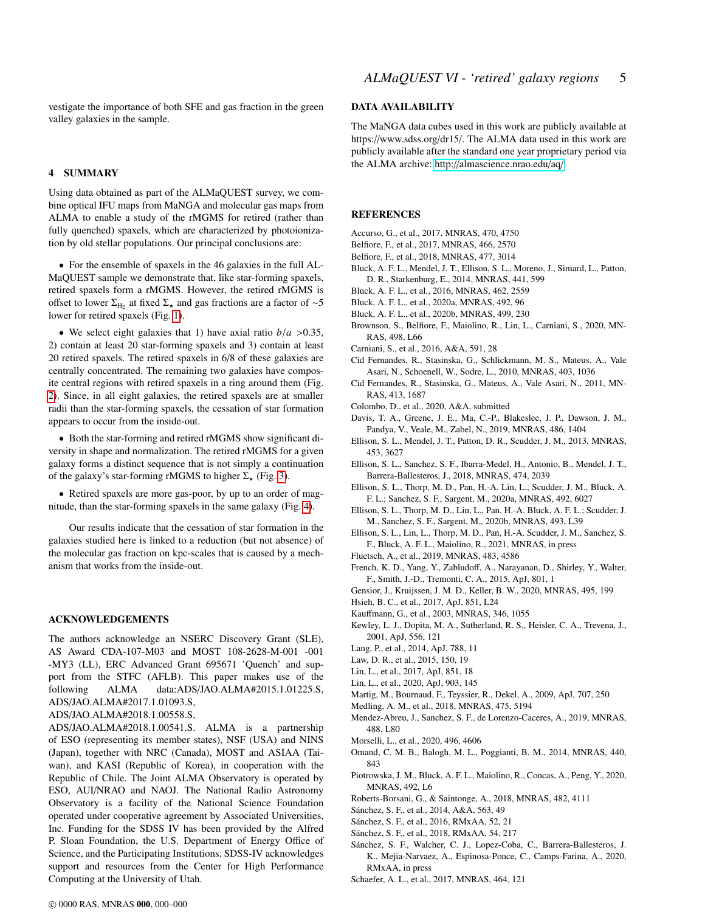vestigate the importance of both SFE and gas fraction in the green valley galaxies in the sample.

#### 4 SUMMARY

Using data obtained as part of the ALMaQUEST survey, we combine optical IFU maps from MaNGA and molecular gas maps from ALMA to enable a study of the rMGMS for retired (rather than fully quenched) spaxels, which are characterized by photoionization by old stellar populations. Our principal conclusions are:

• For the ensemble of spaxels in the 46 galaxies in the full AL-MaQUEST sample we demonstrate that, like star-forming spaxels, retired spaxels form a rMGMS. However, the retired rMGMS is offset to lower  $\Sigma_{\text{H}_2}$  at fixed  $\Sigma_{\star}$  and gas fractions are a factor of ∼5 lower for retired spaxels (Fig. 1).

• We select eight galaxies that 1) have axial ratio  $b/a > 0.35$ , 2) contain at least 20 star-forming spaxels and 3) contain at least 20 retired spaxels. The retired spaxels in 6/8 of these galaxies are centrally concentrated. The remaining two galaxies have composite central regions with retired spaxels in a ring around them (Fig. 2). Since, in all eight galaxies, the retired spaxels are at smaller radii than the star-forming spaxels, the cessation of star formation appears to occur from the inside-out.

• Both the star-forming and retired rMGMS show significant diversity in shape and normalization. The retired rMGMS for a given galaxy forms a distinct sequence that is not simply a continuation of the galaxy's star-forming rMGMS to higher  $\Sigma_{\star}$  (Fig. 3).

• Retired spaxels are more gas-poor, by up to an order of magnitude, than the star-forming spaxels in the same galaxy (Fig. 4).

Our results indicate that the cessation of star formation in the galaxies studied here is linked to a reduction (but not absence) of the molecular gas fraction on kpc-scales that is caused by a mechanism that works from the inside-out.

#### ACKNOWLEDGEMENTS

The authors acknowledge an NSERC Discovery Grant (SLE), AS Award CDA-107-M03 and MOST 108-2628-M-001 -001 -MY3 (LL), ERC Advanced Grant 695671 'Quench' and support from the STFC (AFLB). This paper makes use of the following ALMA data:ADS/JAO.ALMA#2015.1.01225.S, ADS/JAO.ALMA#2017.1.01093.S,

ADS/JAO.ALMA#2018.1.00558.S,

ADS/JAO.ALMA#2018.1.00541.S. ALMA is a partnership of ESO (representing its member states), NSF (USA) and NINS (Japan), together with NRC (Canada), MOST and ASIAA (Taiwan), and KASI (Republic of Korea), in cooperation with the Republic of Chile. The Joint ALMA Observatory is operated by ESO, AUI/NRAO and NAOJ. The National Radio Astronomy Observatory is a facility of the National Science Foundation operated under cooperative agreement by Associated Universities, Inc. Funding for the SDSS IV has been provided by the Alfred P. Sloan Foundation, the U.S. Department of Energy Office of Science, and the Participating Institutions. SDSS-IV acknowledges support and resources from the Center for High Performance Computing at the University of Utah.

### DATA AVAILABILITY

The MaNGA data cubes used in this work are publicly available at https://www.sdss.org/dr15/. The ALMA data used in this work are publicly available after the standard one year proprietary period via the ALMA archive: http://[almascience.nrao.edu](http://almascience.nrao.edu/aq/)/aq/.

#### **REFERENCES**

- Accurso, G., et al., 2017, MNRAS, 470, 4750
- Belfiore, F., et al., 2017, MNRAS, 466, 2570
- Belfiore, F., et al., 2018, MNRAS, 477, 3014
- Bluck, A. F. L., Mendel, J. T., Ellison, S. L., Moreno, J., Simard, L., Patton, D. R., Starkenburg, E., 2014, MNRAS, 441, 599
- Bluck, A. F. L., et al., 2016, MNRAS, 462, 2559
- Bluck, A. F. L., et al., 2020a, MNRAS, 492, 96
- Bluck, A. F. L., et al., 2020b, MNRAS, 499, 230
- Brownson, S., Belfiore, F., Maiolino, R., Lin, L., Carniani, S., 2020, MN-RAS, 498, L66
- Carniani, S., et al., 2016, A&A, 591, 28

Cid Fernandes, R., Stasinska, G., Schlickmann, M. S., Mateus, A., Vale Asari, N., Schoenell, W., Sodre, L., 2010, MNRAS, 403, 1036

- Cid Fernandes, R., Stasinska, G., Mateus, A., Vale Asari, N., 2011, MN-RAS, 413, 1687
- Colombo, D., et al., 2020, A&A, submitted
- Davis, T. A., Greene, J. E., Ma, C.-P., Blakeslee, J. P., Dawson, J. M., Pandya, V., Veale, M., Zabel, N., 2019, MNRAS, 486, 1404
- Ellison, S. L., Mendel, J. T., Patton, D. R., Scudder, J. M., 2013, MNRAS, 453, 3627
- Ellison, S. L., Sanchez, S. F., Ibarra-Medel, H., Antonio, B., Mendel, J. T., Barrera-Ballesteros, J., 2018, MNRAS, 474, 2039
- Ellison, S. L., Thorp, M. D., Pan, H.-A. Lin, L., Scudder, J. M., Bluck, A. F. L.; Sanchez, S. F., Sargent, M., 2020a, MNRAS, 492, 6027
- Ellison, S. L., Thorp, M. D., Lin, L., Pan, H.-A. Bluck, A. F. L.; Scudder, J. M., Sanchez, S. F., Sargent, M., 2020b, MNRAS, 493, L39
- Ellison, S. L., Lin, L., Thorp, M. D., Pan, H.-A. Scudder, J. M., Sanchez, S. F., Bluck, A. F. L., Maiolino, R., 2021, MNRAS, in press
- Fluetsch, A., et al., 2019, MNRAS, 483, 4586
- French, K. D., Yang, Y., Zabludoff, A., Narayanan, D., Shirley, Y., Walter, F., Smith, J.-D., Tremonti, C. A., 2015, ApJ, 801, 1
- Gensior, J., Kruijssen, J. M. D., Keller, B. W., 2020, MNRAS, 495, 199
- Hsieh, B. C., et al., 2017, ApJ, 851, L24
- Kauffmann, G., et al., 2003, MNRAS, 346, 1055
- Kewley, L. J., Dopita, M. A., Sutherland, R. S., Heisler, C. A., Trevena, J., 2001, ApJ, 556, 121
- Lang, P., et al., 2014, ApJ, 788, 11
- Law, D. R., et al., 2015, 150, 19
- Lin, L., et al., 2017, ApJ, 851, 18
- Lin, L., et al., 2020, ApJ, 903, 145
- Martig, M., Bournaud, F., Teyssier, R., Dekel, A., 2009, ApJ, 707, 250
- Medling, A. M., et al., 2018, MNRAS, 475, 5194
- Mendez-Abreu, J., Sanchez, S. F., de Lorenzo-Caceres, A., 2019, MNRAS, 488, L80
- Morselli, L., et al., 2020, 496, 4606
- Omand, C. M. B., Balogh, M. L., Poggianti, B. M., 2014, MNRAS, 440, 843
- Piotrowska, J. M., Bluck, A. F. L., Maiolino, R., Concas, A., Peng, Y., 2020, MNRAS, 492, L6
- Roberts-Borsani, G., & Saintonge, A., 2018, MNRAS, 482, 4111
- Sánchez, S. F., et al., 2014, A&A, 563, 49
- Sánchez, S. F., et al., 2016, RMxAA, 52, 21
- Sánchez, S. F., et al., 2018, RMxAA, 54, 217
- Sánchez, S. F., Walcher, C. J., Lopez-Coba, C., Barrera-Ballesteros, J. K., Mejia-Narvaez, A., Espinosa-Ponce, C., Camps-Farina, A., 2020, RMxAA, in press
- Schaefer, A. L., et al., 2017, MNRAS, 464, 121